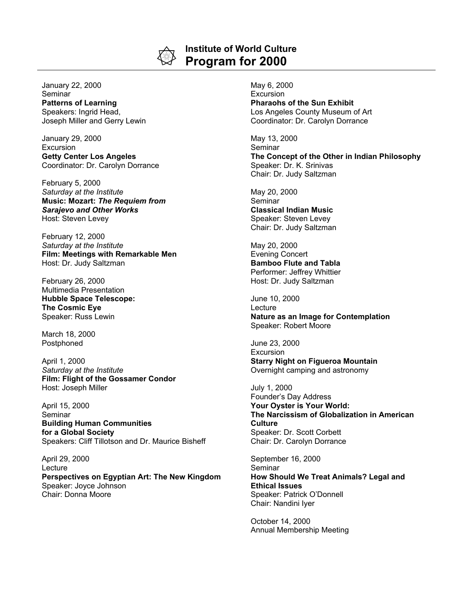

## **Institute of World Culture Program for 2000**

January 22, 2000 **Seminar Patterns of Learning** Speakers: Ingrid Head, Joseph Miller and Gerry Lewin

January 29, 2000 **Excursion Getty Center Los Angeles** Coordinator: Dr. Carolyn Dorrance

February 5, 2000 *Saturday at the Institute* **Music: Mozart:** *The Requiem from Sarajevo and Other Works* Host: Steven Levey

February 12, 2000 *Saturday at the Institute* **Film: Meetings with Remarkable Men** Host: Dr. Judy Saltzman

February 26, 2000 Multimedia Presentation **Hubble Space Telescope: The Cosmic Eye** Speaker: Russ Lewin

March 18, 2000 Postphoned

April 1, 2000 *Saturday at the Institute* **Film: Flight of the Gossamer Condor** Host: Joseph Miller

April 15, 2000 Seminar **Building Human Communities for a Global Society** Speakers: Cliff Tillotson and Dr. Maurice Bisheff

April 29, 2000 Lecture **Perspectives on Egyptian Art: The New Kingdom** Speaker: Joyce Johnson Chair: Donna Moore

May 6, 2000 Excursion **Pharaohs of the Sun Exhibit** Los Angeles County Museum of Art Coordinator: Dr. Carolyn Dorrance

May 13, 2000 Seminar **The Concept of the Other in Indian Philosophy** Speaker: Dr. K. Srinivas Chair: Dr. Judy Saltzman

May 20, 2000 **Seminar Classical Indian Music** Speaker: Steven Levey Chair: Dr. Judy Saltzman

May 20, 2000 Evening Concert **Bamboo Flute and Tabla** Performer: Jeffrey Whittier Host: Dr. Judy Saltzman

June 10, 2000 **Lecture Nature as an Image for Contemplation** Speaker: Robert Moore

June 23, 2000 Excursion **Starry Night on Figueroa Mountain** Overnight camping and astronomy

July 1, 2000 Founder's Day Address **Your Oyster is Your World: The Narcissism of Globalization in American Culture** Speaker: Dr. Scott Corbett Chair: Dr. Carolyn Dorrance

September 16, 2000 **Seminar How Should We Treat Animals? Legal and Ethical Issues** Speaker: Patrick O'Donnell Chair: Nandini Iyer

October 14, 2000 Annual Membership Meeting